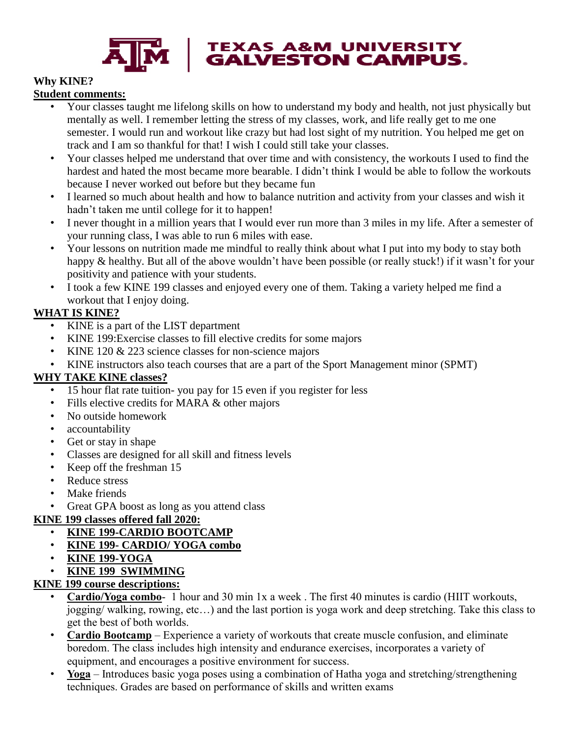

# **TEXAS A&M UNIVERSITY<br>GALVESTON CAMPUS.**

# **Why KINE?**

#### **Student comments:**

- Your classes taught me lifelong skills on how to understand my body and health, not just physically but mentally as well. I remember letting the stress of my classes, work, and life really get to me one semester. I would run and workout like crazy but had lost sight of my nutrition. You helped me get on track and I am so thankful for that! I wish I could still take your classes.
- Your classes helped me understand that over time and with consistency, the workouts I used to find the hardest and hated the most became more bearable. I didn't think I would be able to follow the workouts because I never worked out before but they became fun
- I learned so much about health and how to balance nutrition and activity from your classes and wish it hadn't taken me until college for it to happen!
- I never thought in a million years that I would ever run more than 3 miles in my life. After a semester of your running class, I was able to run 6 miles with ease.
- Your lessons on nutrition made me mindful to really think about what I put into my body to stay both happy & healthy. But all of the above wouldn't have been possible (or really stuck!) if it wasn't for your positivity and patience with your students.
- I took a few KINE 199 classes and enjoyed every one of them. Taking a variety helped me find a workout that I enjoy doing.

## **WHAT IS KINE?**

- KINE is a part of the LIST department
- KINE 199:Exercise classes to fill elective credits for some majors
- KINE 120 & 223 science classes for non-science majors
- KINE instructors also teach courses that are a part of the Sport Management minor (SPMT)

## **WHY TAKE KINE classes?**

- 15 hour flat rate tuition- you pay for 15 even if you register for less
- Fills elective credits for MARA & other majors
- No outside homework
- accountability
- Get or stay in shape
- Classes are designed for all skill and fitness levels
- Keep off the freshman 15
- Reduce stress
- Make friends
- Great GPA boost as long as you attend class

## **KINE 199 classes offered fall 2020:**

- **KINE 199-CARDIO BOOTCAMP**
- **KINE 199- CARDIO/ YOGA combo**
- **KINE 199-YOGA**
- **KINE 199 SWIMMING**

## **KINE 199 course descriptions:**

- **Cardio/Yoga combo** 1 hour and 30 min 1x a week . The first 40 minutes is cardio (HIIT workouts, jogging/ walking, rowing, etc…) and the last portion is yoga work and deep stretching. Take this class to get the best of both worlds.
- **Cardio Bootcamp** Experience a variety of workouts that create muscle confusion, and eliminate boredom. The class includes high intensity and endurance exercises, incorporates a variety of equipment, and encourages a positive environment for success.
- **Yoga** Introduces basic yoga poses using a combination of Hatha yoga and stretching/strengthening techniques. Grades are based on performance of skills and written exams